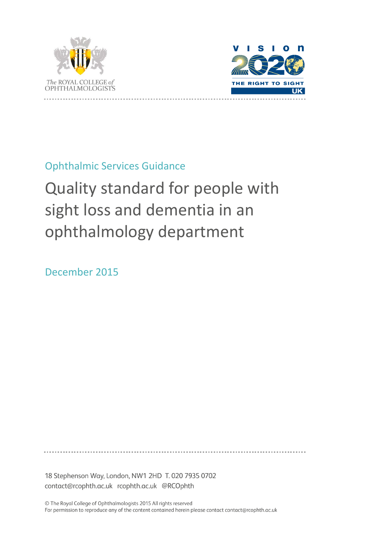



Ophthalmic Services Guidance

# Quality standard for people with sight loss and dementia in an ophthalmology department

December 2015

18 Stephenson Way, London, NW1 2HD T. 020 7935 0702 contact@rcophth.ac.uk rcophth.ac.uk @RCOphth

© The Royal College of Ophthalmologists 2015 All rights reserved For permission to reproduce any of the content contained herein please contact contact@rcophth.ac.uk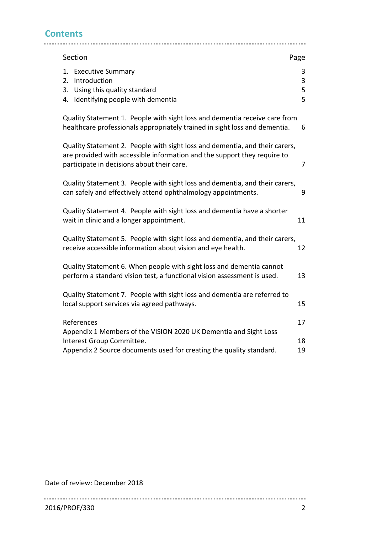## **Contents**

| Section                                                                                                                                                                                               | Page             |
|-------------------------------------------------------------------------------------------------------------------------------------------------------------------------------------------------------|------------------|
| <b>Executive Summary</b><br>1.<br>Introduction<br>2.<br>Using this quality standard<br>3.<br>Identifying people with dementia<br>4.                                                                   | 3<br>3<br>5<br>5 |
| Quality Statement 1. People with sight loss and dementia receive care from<br>healthcare professionals appropriately trained in sight loss and dementia.                                              | 6                |
| Quality Statement 2. People with sight loss and dementia, and their carers,<br>are provided with accessible information and the support they require to<br>participate in decisions about their care. | 7                |
| Quality Statement 3. People with sight loss and dementia, and their carers,<br>can safely and effectively attend ophthalmology appointments.                                                          | 9                |
| Quality Statement 4. People with sight loss and dementia have a shorter<br>wait in clinic and a longer appointment.                                                                                   | 11               |
| Quality Statement 5. People with sight loss and dementia, and their carers,<br>receive accessible information about vision and eye health.                                                            | 12               |
| Quality Statement 6. When people with sight loss and dementia cannot<br>perform a standard vision test, a functional vision assessment is used.                                                       | 13               |
| Quality Statement 7. People with sight loss and dementia are referred to<br>local support services via agreed pathways.                                                                               | 15               |
| References<br>Appendix 1 Members of the VISION 2020 UK Dementia and Sight Loss<br>Interest Group Committee.                                                                                           | 17<br>18         |
| Appendix 2 Source documents used for creating the quality standard.                                                                                                                                   | 19               |

Date of review: December 2018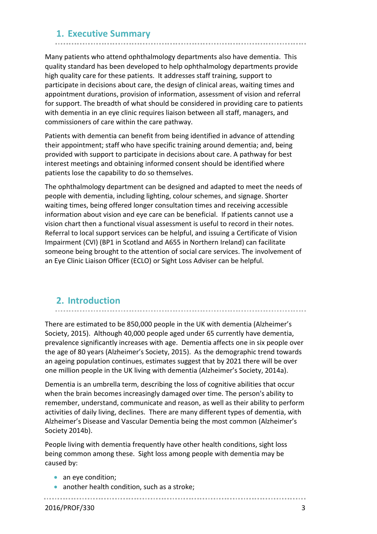### **1. Executive Summary**

Many patients who attend ophthalmology departments also have dementia. This quality standard has been developed to help ophthalmology departments provide high quality care for these patients. It addresses staff training, support to participate in decisions about care, the design of clinical areas, waiting times and appointment durations, provision of information, assessment of vision and referral for support. The breadth of what should be considered in providing care to patients with dementia in an eye clinic requires liaison between all staff, managers, and commissioners of care within the care pathway.

Patients with dementia can benefit from being identified in advance of attending their appointment; staff who have specific training around dementia; and, being provided with support to participate in decisions about care. A pathway for best interest meetings and obtaining informed consent should be identified where patients lose the capability to do so themselves.

The ophthalmology department can be designed and adapted to meet the needs of people with dementia, including lighting, colour schemes, and signage. Shorter waiting times, being offered longer consultation times and receiving accessible information about vision and eye care can be beneficial. If patients cannot use a vision chart then a functional visual assessment is useful to record in their notes. Referral to local support services can be helpful, and issuing a Certificate of Vision Impairment (CVI) (BP1 in Scotland and A655 in Northern Ireland) can facilitate someone being brought to the attention of social care services. The involvement of an Eye Clinic Liaison Officer (ECLO) or Sight Loss Adviser can be helpful.

## **2. Introduction**

There are estimated to be 850,000 people in the UK with dementia (Alzheimer's Society, 2015). Although 40,000 people aged under 65 currently have dementia, prevalence significantly increases with age. Dementia affects one in six people over the age of 80 years (Alzheimer's Society, 2015). As the demographic trend towards an ageing population continues, estimates suggest that by 2021 there will be over

one million people in the UK living with dementia (Alzheimer's Society, 2014a).

Dementia is an umbrella term, describing the loss of cognitive abilities that occur when the brain becomes increasingly damaged over time. The person's ability to remember, understand, communicate and reason, as well as their ability to perform activities of daily living, declines. There are many different types of dementia, with Alzheimer's Disease and Vascular Dementia being the most common (Alzheimer's Society 2014b).

People living with dementia frequently have other health conditions, sight loss being common among these. Sight loss among people with dementia may be caused by:

- an eye condition;
- another health condition, such as a stroke;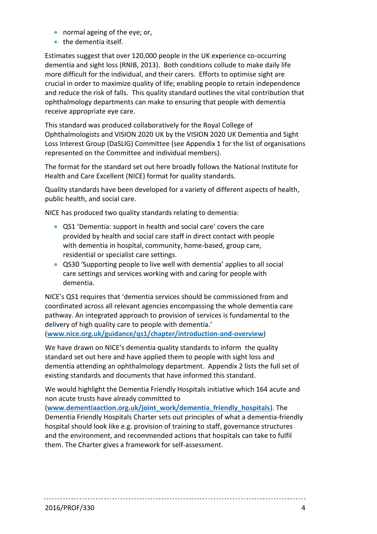- normal ageing of the eye; or,
- the dementia itself.

Estimates suggest that over 120,000 people in the UK experience co-occurring dementia and sight loss (RNIB, 2013). Both conditions collude to make daily life more difficult for the individual, and their carers. Efforts to optimise sight are crucial in order to maximize quality of life; enabling people to retain independence and reduce the risk of falls. This quality standard outlines the vital contribution that ophthalmology departments can make to ensuring that people with dementia receive appropriate eye care.

This standard was produced collaboratively for the Royal College of Ophthalmologists and VISION 2020 UK by the VISION 2020 UK Dementia and Sight Loss Interest Group (DaSLIG) Committee (see Appendix 1 for the list of organisations represented on the Committee and individual members).

The format for the standard set out here broadly follows the National Institute for Health and Care Excellent (NICE) format for quality standards.

Quality standards have been developed for a variety of different aspects of health, public health, and social care.

NICE has produced two quality standards relating to dementia:

- QS1 'Dementia: support in health and social care' covers the care provided by health and social care staff in direct contact with people with dementia in hospital, community, home-based, group care, residential or specialist care settings.
- QS30 'Supporting people to live well with dementia' applies to all social care settings and services working with and caring for people with dementia.

NICE's QS1 requires that 'dementia services should be commissioned from and coordinated across all relevant agencies encompassing the whole dementia care pathway. An integrated approach to provision of services is fundamental to the delivery of high quality care to people with dementia.' (**[www.nice.org.uk/guidance/qs1/chapter/introduction-and-overview](https://www.nice.org.uk/guidance/qs1/chapter/introduction-and-overview)**)

We have drawn on NICE's dementia quality standards to inform the quality standard set out here and have applied them to people with sight loss and dementia attending an ophthalmology department. Appendix 2 lists the full set of existing standards and documents that have informed this standard.

We would highlight the Dementia Friendly Hospitals initiative which 164 acute and non acute trusts have already committed to

(**[www.dementiaaction.org.uk/joint\\_work/dementia\\_friendly\\_hospitals](http://www.dementiaaction.org.uk/joint_work/dementia_friendly_hospitals)**). The Dementia Friendly Hospitals Charter sets out principles of what a dementia-friendly hospital should look like e.g. provision of training to staff, governance structures and the environment, and recommended actions that hospitals can take to fulfil them. The Charter gives a framework for self-assessment.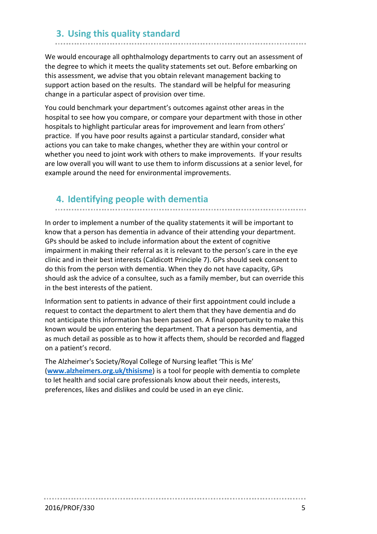## **3. Using this quality standard**

We would encourage all ophthalmology departments to carry out an assessment of the degree to which it meets the quality statements set out. Before embarking on this assessment, we advise that you obtain relevant management backing to support action based on the results. The standard will be helpful for measuring change in a particular aspect of provision over time.

You could benchmark your department's outcomes against other areas in the hospital to see how you compare, or compare your department with those in other hospitals to highlight particular areas for improvement and learn from others' practice. If you have poor results against a particular standard, consider what actions you can take to make changes, whether they are within your control or whether you need to joint work with others to make improvements. If your results are low overall you will want to use them to inform discussions at a senior level, for example around the need for environmental improvements.

### **4. Identifying people with dementia**

In order to implement a number of the quality statements it will be important to know that a person has dementia in advance of their attending your department. GPs should be asked to include information about the extent of cognitive impairment in making their referral as it is relevant to the person's care in the eye clinic and in their best interests (Caldicott Principle 7). GPs should seek consent to do this from the person with dementia. When they do not have capacity, GPs should ask the advice of a consultee, such as a family member, but can override this in the best interests of the patient.

Information sent to patients in advance of their first appointment could include a request to contact the department to alert them that they have dementia and do not anticipate this information has been passed on. A final opportunity to make this known would be upon entering the department. That a person has dementia, and as much detail as possible as to how it affects them, should be recorded and flagged on a patient's record.

The Alzheimer's Society/Royal College of Nursing leaflet 'This is Me' (**[www.alzheimers.org.uk/thisisme](http://www.alzheimers.org.uk/thisisme)**) is a tool for people with dementia to complete to let health and social care professionals know about their needs, interests, preferences, likes and dislikes and could be used in an eye clinic.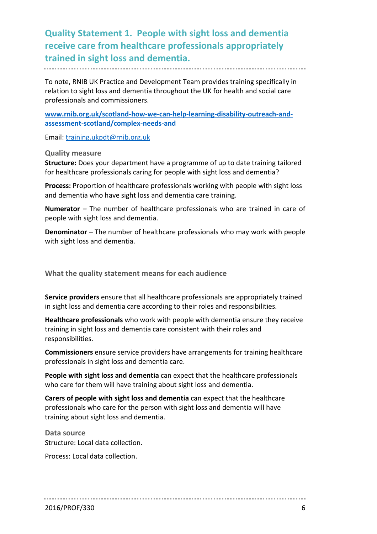**Quality Statement 1. People with sight loss and dementia receive care from healthcare professionals appropriately trained in sight loss and dementia.**

To note, RNIB UK Practice and Development Team provides training specifically in relation to sight loss and dementia throughout the UK for health and social care professionals and commissioners.

**www.rnib.org.uk/scotland-how-we-can-help-learning-disability-outreach-andassessment-scotland/complex-needs-and**

Email: [training.ukpdt@rnib.org.uk](mailto:training.ukpdt@rnib.org.uk)

**Quality measure**

**Structure:** Does your department have a programme of up to date training tailored for healthcare professionals caring for people with sight loss and dementia?

**Process:** Proportion of healthcare professionals working with people with sight loss and dementia who have sight loss and dementia care training.

**Numerator –** The number of healthcare professionals who are trained in care of people with sight loss and dementia.

**Denominator –** The number of healthcare professionals who may work with people with sight loss and dementia.

**What the quality statement means for each audience**

**Service providers** ensure that all healthcare professionals are appropriately trained in sight loss and dementia care according to their roles and responsibilities.

**Healthcare professionals** who work with people with dementia ensure they receive training in sight loss and dementia care consistent with their roles and responsibilities.

**Commissioners** ensure service providers have arrangements for training healthcare professionals in sight loss and dementia care.

**People with sight loss and dementia** can expect that the healthcare professionals who care for them will have training about sight loss and dementia.

**Carers of people with sight loss and dementia** can expect that the healthcare professionals who care for the person with sight loss and dementia will have training about sight loss and dementia.

**Data source** Structure: Local data collection.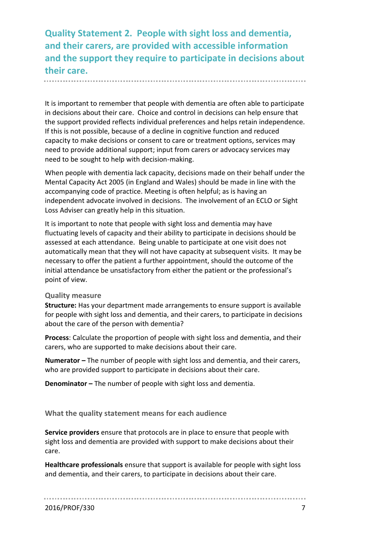**Quality Statement 2. People with sight loss and dementia, and their carers, are provided with accessible information and the support they require to participate in decisions about their care.** 

It is important to remember that people with dementia are often able to participate in decisions about their care. Choice and control in decisions can help ensure that the support provided reflects individual preferences and helps retain independence. If this is not possible, because of a decline in cognitive function and reduced capacity to make decisions or consent to care or treatment options, services may need to provide additional support; input from carers or advocacy services may need to be sought to help with decision-making.

When people with dementia lack capacity, decisions made on their behalf under the Mental Capacity Act 2005 (in England and Wales) should be made in line with the accompanying code of practice. Meeting is often helpful; as is having an independent advocate involved in decisions. The involvement of an ECLO or Sight Loss Adviser can greatly help in this situation.

It is important to note that people with sight loss and dementia may have fluctuating levels of capacity and their ability to participate in decisions should be assessed at each attendance. Being unable to participate at one visit does not automatically mean that they will not have capacity at subsequent visits. It may be necessary to offer the patient a further appointment, should the outcome of the initial attendance be unsatisfactory from either the patient or the professional's point of view.

#### **Quality measure**

**Structure:** Has your department made arrangements to ensure support is available for people with sight loss and dementia, and their carers, to participate in decisions about the care of the person with dementia?

**Process**: Calculate the proportion of people with sight loss and dementia, and their carers, who are supported to make decisions about their care.

**Numerator –** The number of people with sight loss and dementia, and their carers, who are provided support to participate in decisions about their care.

**Denominator –** The number of people with sight loss and dementia.

**What the quality statement means for each audience**

**Service providers** ensure that protocols are in place to ensure that people with sight loss and dementia are provided with support to make decisions about their care.

**Healthcare professionals** ensure that support is available for people with sight loss and dementia, and their carers, to participate in decisions about their care.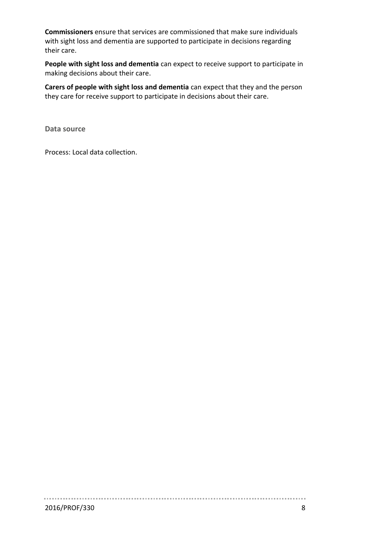**Commissioners** ensure that services are commissioned that make sure individuals with sight loss and dementia are supported to participate in decisions regarding their care.

**People with sight loss and dementia** can expect to receive support to participate in making decisions about their care.

**Carers of people with sight loss and dementia** can expect that they and the person they care for receive support to participate in decisions about their care.

**Data source**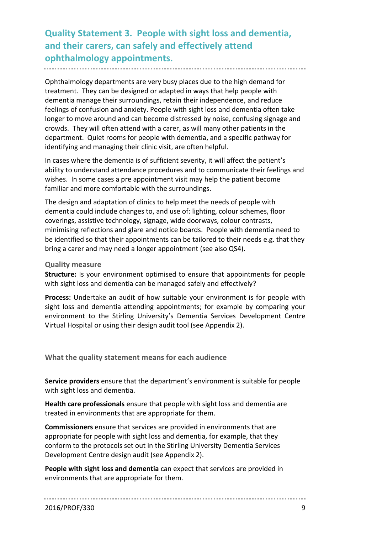**Quality Statement 3. People with sight loss and dementia, and their carers, can safely and effectively attend ophthalmology appointments.**

Ophthalmology departments are very busy places due to the high demand for treatment. They can be designed or adapted in ways that help people with dementia manage their surroundings, retain their independence, and reduce feelings of confusion and anxiety. People with sight loss and dementia often take longer to move around and can become distressed by noise, confusing signage and crowds. They will often attend with a carer, as will many other patients in the department. Quiet rooms for people with dementia, and a specific pathway for identifying and managing their clinic visit, are often helpful.

In cases where the dementia is of sufficient severity, it will affect the patient's ability to understand attendance procedures and to communicate their feelings and wishes. In some cases a pre appointment visit may help the patient become familiar and more comfortable with the surroundings.

The design and adaptation of clinics to help meet the needs of people with dementia could include changes to, and use of: lighting, colour schemes, floor coverings, assistive technology, signage, wide doorways, colour contrasts, minimising reflections and glare and notice boards. People with dementia need to be identified so that their appointments can be tailored to their needs e.g. that they bring a carer and may need a longer appointment (see also QS4).

#### **Quality measure**

**Structure:** Is your environment optimised to ensure that appointments for people with sight loss and dementia can be managed safely and effectively?

**Process:** Undertake an audit of how suitable your environment is for people with sight loss and dementia attending appointments; for example by comparing your environment to the Stirling University's Dementia Services Development Centre Virtual Hospital or using their design audit tool (see Appendix 2).

**What the quality statement means for each audience**

**Service providers** ensure that the department's environment is suitable for people with sight loss and dementia.

**Health care professionals** ensure that people with sight loss and dementia are treated in environments that are appropriate for them.

**Commissioners** ensure that services are provided in environments that are appropriate for people with sight loss and dementia, for example, that they conform to the protocols set out in the Stirling University Dementia Services Development Centre design audit (see Appendix 2).

**People with sight loss and dementia** can expect that services are provided in environments that are appropriate for them.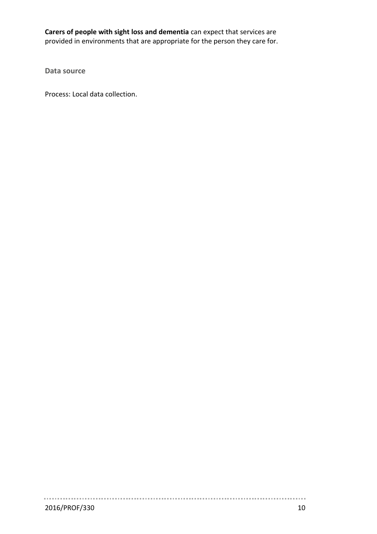**Carers of people with sight loss and dementia** can expect that services are provided in environments that are appropriate for the person they care for.

**Data source**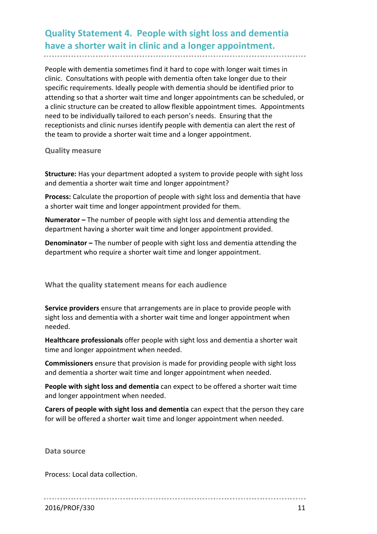## **Quality Statement 4. People with sight loss and dementia have a shorter wait in clinic and a longer appointment.**

People with dementia sometimes find it hard to cope with longer wait times in clinic. Consultations with people with dementia often take longer due to their specific requirements. Ideally people with dementia should be identified prior to attending so that a shorter wait time and longer appointments can be scheduled, or a clinic structure can be created to allow flexible appointment times. Appointments need to be individually tailored to each person's needs. Ensuring that the receptionists and clinic nurses identify people with dementia can alert the rest of the team to provide a shorter wait time and a longer appointment.

**Quality measure**

**Structure:** Has your department adopted a system to provide people with sight loss and dementia a shorter wait time and longer appointment?

**Process:** Calculate the proportion of people with sight loss and dementia that have a shorter wait time and longer appointment provided for them.

**Numerator –** The number of people with sight loss and dementia attending the department having a shorter wait time and longer appointment provided.

**Denominator –** The number of people with sight loss and dementia attending the department who require a shorter wait time and longer appointment.

**What the quality statement means for each audience**

**Service providers** ensure that arrangements are in place to provide people with sight loss and dementia with a shorter wait time and longer appointment when needed.

**Healthcare professionals** offer people with sight loss and dementia a shorter wait time and longer appointment when needed.

**Commissioners** ensure that provision is made for providing people with sight loss and dementia a shorter wait time and longer appointment when needed.

**People with sight loss and dementia** can expect to be offered a shorter wait time and longer appointment when needed.

**Carers of people with sight loss and dementia** can expect that the person they care for will be offered a shorter wait time and longer appointment when needed.

**Data source**

Process: Local data collection.

2016/PROF/330 11 12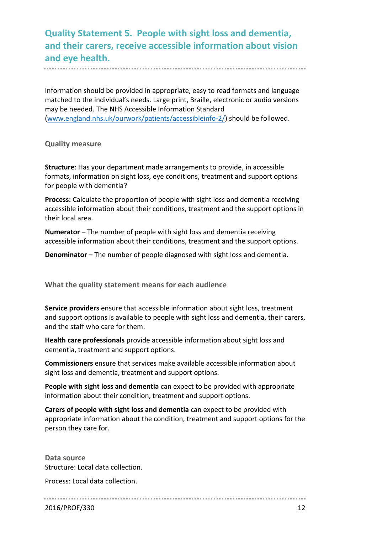**Quality Statement 5. People with sight loss and dementia, and their carers, receive accessible information about vision and eye health.**

Information should be provided in appropriate, easy to read formats and language matched to the individual's needs. Large print, Braille, electronic or audio versions may be needed. The NHS Accessible Information Standard [\(www.england.nhs.uk/ourwork/patients/accessibleinfo-2/\)](http://www.england.nhs.uk/ourwork/patients/accessibleinfo-2/) should be followed.

**Quality measure**

**Structure**: Has your department made arrangements to provide, in accessible formats, information on sight loss, eye conditions, treatment and support options for people with dementia?

**Process:** Calculate the proportion of people with sight loss and dementia receiving accessible information about their conditions, treatment and the support options in their local area.

**Numerator –** The number of people with sight loss and dementia receiving accessible information about their conditions, treatment and the support options.

**Denominator –** The number of people diagnosed with sight loss and dementia.

**What the quality statement means for each audience**

**Service providers** ensure that accessible information about sight loss, treatment and support options is available to people with sight loss and dementia, their carers, and the staff who care for them.

**Health care professionals** provide accessible information about sight loss and dementia, treatment and support options.

**Commissioners** ensure that services make available accessible information about sight loss and dementia, treatment and support options.

**People with sight loss and dementia** can expect to be provided with appropriate information about their condition, treatment and support options.

**Carers of people with sight loss and dementia** can expect to be provided with appropriate information about the condition, treatment and support options for the person they care for.

**Data source** Structure: Local data collection.

Process: Local data collection.

2016/PROF/330 12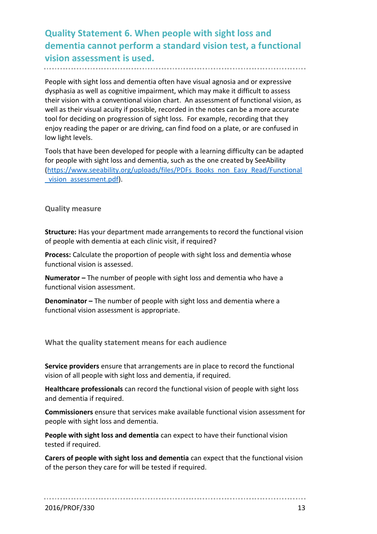**Quality Statement 6. When people with sight loss and dementia cannot perform a standard vision test, a functional vision assessment is used.** 

People with sight loss and dementia often have visual agnosia and or expressive dysphasia as well as cognitive impairment, which may make it difficult to assess their vision with a conventional vision chart. An assessment of functional vision, as well as their visual acuity if possible, recorded in the notes can be a more accurate tool for deciding on progression of sight loss. For example, recording that they enjoy reading the paper or are driving, can find food on a plate, or are confused in low light levels.

Tools that have been developed for people with a learning difficulty can be adapted for people with sight loss and dementia, such as the one created by SeeAbility [\(https://www.seeability.org/uploads/files/PDFs\\_Books\\_non\\_Easy\\_Read/Functional](https://www.seeability.org/uploads/files/PDFs_Books_non_Easy_Read/Functional_vision_assessment.pdf) vision assessment.pdf).

**Quality measure**

**Structure:** Has your department made arrangements to record the functional vision of people with dementia at each clinic visit, if required?

**Process:** Calculate the proportion of people with sight loss and dementia whose functional vision is assessed.

**Numerator –** The number of people with sight loss and dementia who have a functional vision assessment.

**Denominator –** The number of people with sight loss and dementia where a functional vision assessment is appropriate.

**What the quality statement means for each audience**

**Service providers** ensure that arrangements are in place to record the functional vision of all people with sight loss and dementia, if required.

**Healthcare professionals** can record the functional vision of people with sight loss and dementia if required.

**Commissioners** ensure that services make available functional vision assessment for people with sight loss and dementia.

**People with sight loss and dementia** can expect to have their functional vision tested if required.

**Carers of people with sight loss and dementia** can expect that the functional vision of the person they care for will be tested if required.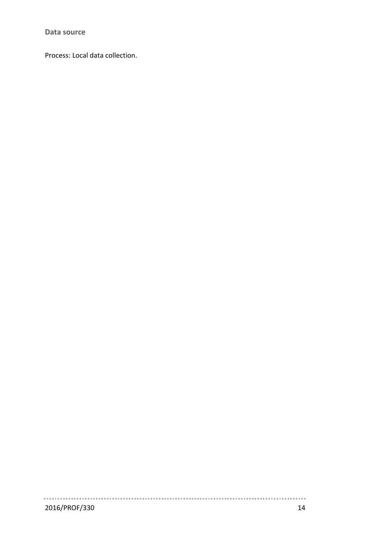**Data source**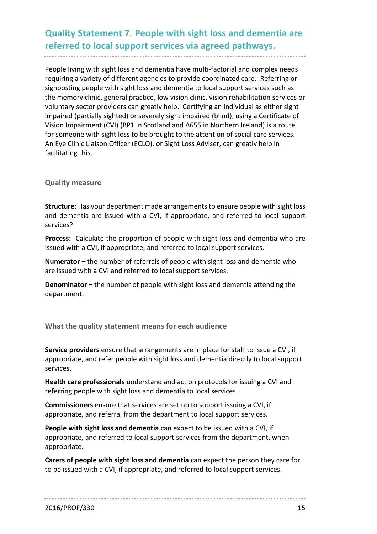## **Quality Statement 7. People with sight loss and dementia are referred to local support services via agreed pathways.**

People living with sight loss and dementia have multi-factorial and complex needs requiring a variety of different agencies to provide coordinated care. Referring or signposting people with sight loss and dementia to local support services such as the memory clinic, general practice, low vision clinic, vision rehabilitation services or voluntary sector providers can greatly help. Certifying an individual as either sight impaired (partially sighted) or severely sight impaired (blind), using a Certificate of Vision Impairment (CVI) (BP1 in Scotland and A655 in Northern Ireland) is a route for someone with sight loss to be brought to the attention of social care services. An Eye Clinic Liaison Officer (ECLO), or Sight Loss Adviser, can greatly help in facilitating this.

#### **Quality measure**

**Structure:** Has your department made arrangements to ensure people with sight loss and dementia are issued with a CVI, if appropriate, and referred to local support services?

**Process:** Calculate the proportion of people with sight loss and dementia who are issued with a CVI, if appropriate, and referred to local support services.

**Numerator –** the number of referrals of people with sight loss and dementia who are issued with a CVI and referred to local support services.

**Denominator –** the number of people with sight loss and dementia attending the department.

**What the quality statement means for each audience**

**Service providers** ensure that arrangements are in place for staff to issue a CVI, if appropriate, and refer people with sight loss and dementia directly to local support services.

**Health care professionals** understand and act on protocols for issuing a CVI and referring people with sight loss and dementia to local services.

**Commissioners** ensure that services are set up to support issuing a CVI, if appropriate, and referral from the department to local support services.

**People with sight loss and dementia** can expect to be issued with a CVI, if appropriate, and referred to local support services from the department, when appropriate.

**Carers of people with sight loss and dementia** can expect the person they care for to be issued with a CVI, if appropriate, and referred to local support services.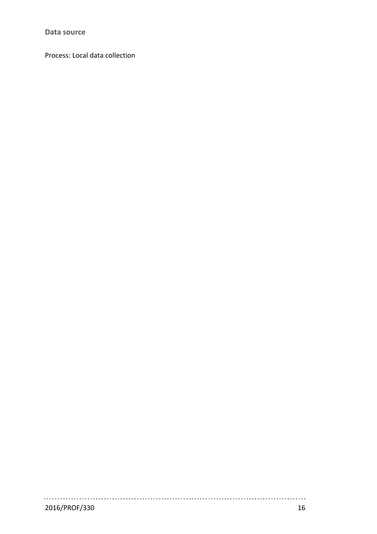**Data source**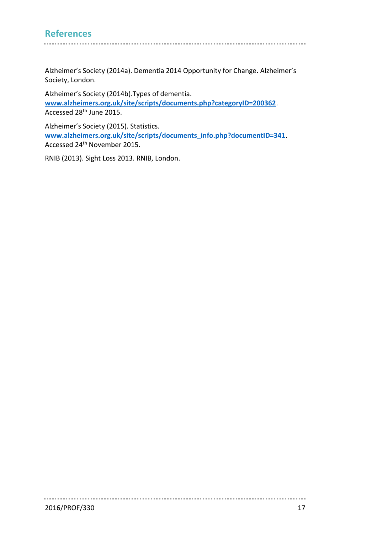## **References**

Alzheimer's Society (2014a). Dementia 2014 Opportunity for Change. Alzheimer's Society, London.

Alzheimer's Society (2014b).Types of dementia. **[www.alzheimers.org.uk/site/scripts/documents.php?categoryID=200362](http://www.alzheimers.org.uk/site/scripts/documents.php?categoryID=200362)**. Accessed 28th June 2015.

Alzheimer's Society (2015). Statistics. **[www.alzheimers.org.uk/site/scripts/documents\\_info.php?documentID=341](http://www.alzheimers.org.uk/site/scripts/documents_info.php?documentID=341)**. Accessed 24th November 2015.

RNIB (2013). Sight Loss 2013. RNIB, London.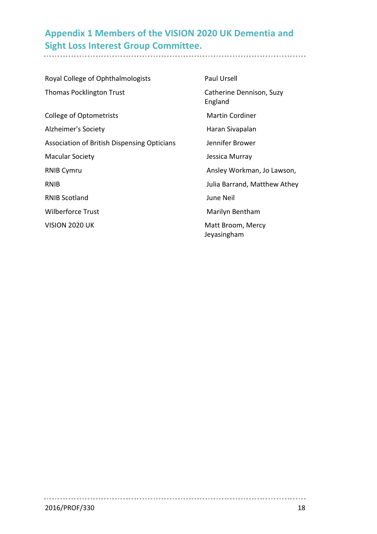## **Appendix 1 Members of the VISION 2020 UK Dementia and Sight Loss Interest Group Committee.**

| Royal College of Ophthalmologists           | <b>Paul Ursell</b>                  |
|---------------------------------------------|-------------------------------------|
| <b>Thomas Pocklington Trust</b>             | Catherine Dennison, Suzy<br>England |
| <b>College of Optometrists</b>              | <b>Martin Cordiner</b>              |
| Alzheimer's Society                         | Haran Sivapalan                     |
| Association of British Dispensing Opticians | Jennifer Brower                     |
| <b>Macular Society</b>                      | Jessica Murray                      |
| <b>RNIB Cymru</b>                           | Ansley Workman, Jo Lawson,          |
| <b>RNIB</b>                                 | Julia Barrand, Matthew Athey        |
| <b>RNIB Scotland</b>                        | June Neil                           |
| <b>Wilberforce Trust</b>                    | Marilyn Bentham                     |
| <b>VISION 2020 UK</b>                       | Matt Broom, Mercy<br>Jeyasingham    |